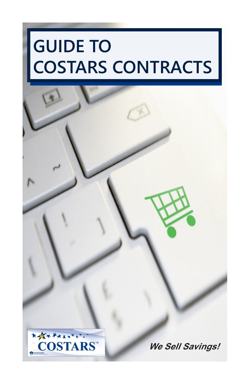# **GUIDE TO COSTARS CONTRACTS**



**We Sell Savings!**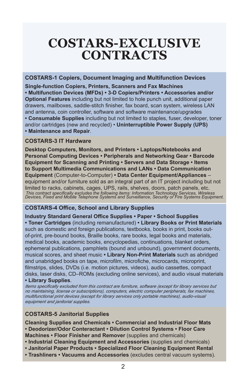### **COSTARS-EXCLUSIVE CONTRACTS**

#### **COSTARS-1 Copiers, Document Imaging and Multifunction Devices**

**Single-function Copiers, Printers, Scanners and Fax Machines • Multifunction Devices (MFDs) • 3-D Copiers/Printers • Accessories and/or Optional Features** including but not limited to hole punch unit, additional paper drawers, mailboxes, saddle-stitch finisher, fax board, scan system, wireless LAN and antenna, coin controller, software and software maintenance/upgrades **• Consumable Supplies** including but not limited to staples, fuser, developer, toner and/or cartridges (new and recycled) • **Uninterruptible Power Supply (UPS) • Maintenance and Repair**.

#### **COSTARS-3 IT Hardware**

**Desktop Computers, Monitors, and Printers • Laptops/Notebooks and Personal Computing Devices • Peripherals and Networking Gear • Barcode Equipment for Scanning and Printing • Servers and Data Storage • Items to Support Multimedia Communications and LANs • Data Communication Equipment** (Computer-to-Computer) **• Data Center Equipment/Appliances** – equipment and/or furniture sold as an integral part of an IT project including but not limited to racks, cabinets, cages, UPS, rails, shelves, doors, patch panels, etc. *This contract specifically excludes the following items: Information Technology Services, Wireless Devices, Fixed and Mobile Telephone Systems and Surveillance, Security or Fire Systems Equipment.*

#### **COSTARS-4 Office, School and Library Supplies**

**Industry Standard General Office Supplies • Paper • School Supplies • Toner Cartridges** (including remanufactured) **• Library Books or Print Materials** such as domestic and foreign publications, textbooks, books in print, books outof-print, pre-bound books, Braille books, rare books, legal books and materials, medical books, academic books, encyclopedias, continuations, blanket orders, ephemeral publications, pamphlets (bound and unbound), government documents, musical scores, and sheet music **• Library Non-Print Materials** such as abridged and unabridged books on tape, microfilm, microfiche, microcards, microprint, filmstrips, slides, DVDs (i.e. motion pictures, videos), audio cassettes, compact disks, laser disks, CD–ROMs (excluding online services), and audio visual materials **• Library Supplies**.

*Items specifically excluded from this contract are furniture, software (except for library services but no maintaining, license or subscriptions), computers, electric computer peripherals, fax machines, multifunctional print devices (except for library services only portable machines), audio-visual equipment and janitorial supplies.*

#### **COSTARS-5 Janitorial Supplies**

**Cleaning Supplies and Chemicals • Commercial and Industrial Floor Mats • Deodorizer/Odor Conteractant • Dilution Control Systems • Floor Care Machines • Floor Finisher and Remover** (supplies and chemicals)

- **• Industrial Cleaning Equipment and Accessories** (supplies and chemicals)
- **• Janitorial Paper Products Specialized Floor Cleaning Equipment Rental**
- **Trashliners Vacuums and Accessories** (excludes central vacuum systems).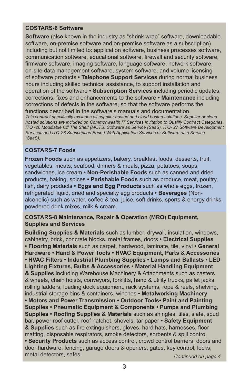#### **COSTARS-6 Software**

**Software** (also known in the industry as "shrink wrap" software, downloadable software, on-premise software and on-premise software as a subscription) including but not limited to: application software, business processes software, communication software, educational software, firewall and security software, firmware software, imaging software, language software, network software, on-site data management software, system software, and volume licensing of software products **• Telephone Support Services** during normal business hours including skilled technical assistance, to support installation and operation of the software **• Subscription Services** including periodic updates, corrections, fixes and enhancements to the software **• Maintenance** including corrections of defects in the software, so that the software performs the functions described in the software's manuals and documentation. *This contract specifically excludes all supplier hosted and cloud hosted solutions. Supplier or cloud hosted solutions are included on Commonwealth IT Services Invitation to Qualify Contract Categories, ITQ -26 Modifiable Off The Shelf (MOTS) Software as Service (SaaS), ITQ- 27 Software Development Services and ITQ-28 Subscription Based Web Application Services or Software as a Service (SaaS).*

### **COSTARS-7 Foods**

**Frozen Foods** such as appetizers, bakery, breakfast foods, desserts, fruit, vegetables, meats, seafood, dinners & meals, pizza, potatoes, soups, sandwiches, ice cream **• Non-Perishable Foods** such as canned and dried products, baking, spices **• Perishable Foods** such as produce, meat, poultry, fish, dairy products **• Eggs and Egg Products** such as whole eggs, frozen, refrigerated liquid, dried and specialty egg products **• Beverages** (Nonalcoholic) such as water, coffee & tea, juice, soft drinks, sports & energy drinks, powdered drink mixes, milk & cream.

#### **COSTARS-8 Maintenance, Repair & Operation (MRO) Equipment, Supplies and Services**

**Building Supplies & Materials** such as lumber, drywall, insulation, windows, cabinetry, brick, concrete blocks, metal frames, doors **• Electrical Supplies • Flooring Materials** such as carpet, hardwood, laminate, tile, vinyl **• General Hardware • Hand & Power Tools • HVAC Equipment, Parts & Accessories • HVAC Filters • Industrial Plumbing Supplies • Lamps and Ballasts • LED Lighting Fixtures, Bulbs & Accessories • Material Handling Equipment & Supplies** including Warehouse Machinery & Attachments such as casters & wheels, chain hoists, conveyors, forklifts, hand & utility trucks, pallet jacks, rolling ladders, loading dock equipment, rack systems, rope & reels, shelving, industrial storage bins & containers, winches **• Metalworking Machinery • Motors and Power Transmission • Outdoor Tools• Paint and Painting Supplies • Pneumatic Equipment & Components • Pumps and Plumbing Supplies • Roofing Supplies & Materials** such as shingles, tiles, slate, spud bar, power roof cutter, roof hatchet, shovels, tar paper **• Safety Equipment & Supplies** such as fire extinguishers, gloves, hard hats, harnesses, floor matting, disposable respirators, smoke detectors, sorbents & spill control **• Security Products** such as access control, crowd control barriers, doors and door hardware, fencing, garage doors & openers, gates, key control, locks, metal detectors, safes. **Continued on page 4** and the continued on page 4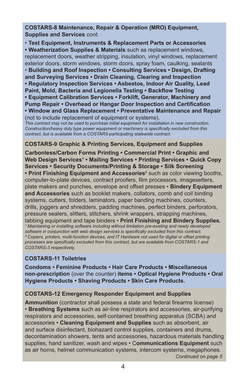**COSTARS-8 Maintenance, Repair & Operation (MRO) Equipment, Supplies and Services** *cont.*

• **Test Equipment, Instruments & Replacement Parts or Accessories • Weatherization Supplies & Materials** such as replacement windows, replacement doors, weather stripping, insulation, vinyl windows, replacement exterior doors, storm windows, storm doors, spray foam, caulking, sealants • **Building and Roof Inspection • Consulting Services • Design, Drafting and Surveying Services • Drain Cleaning, Clearing and Inspection • Regulatory Inspection Services • Asbestos, Indoor Air Quality, Lead Paint, Mold, Bacteria and Legionella Testing • Backflow Testing • Equipment Calibration Services • Forklift, Generator, Machinery and Pump Repair • Overhead or Hangar Door Inspection and Certification • Window and Glass Replacement • Preventative Maintenance and Repair**  (not to include replacement of equipment or systems).

*This contract may not be used to purchase initial equipment for installation in new construction. Construction/heavy duty type power equipment or machinery is specifically excluded from this contract, but is available from a COSTARS-participating statewide contract.*

#### **COSTARS-9 Graphic & Printing Services, Equipment and Supplies**

**Carbonless/Carbon Forms Printing • Commercial Print • Graphic and**  Web Design Services<sup>1</sup> • Mailing Services • Printing Services • Quick Copy **Services • Security Documents/Printing & Storage • Silk Screening • Print Finishing Equipment and Accessories**² such as color viewing booths, computer-to-plate devices, contract proofers, film processors, imagesetters, plate makers and punches, envelope and offset presses • **Bindery Equipment and Accessories** such as booklet makers, collators, comb and coil binding systems, cutters, folders, laminators, paper banding machines, counters, drills, joggers and shredders, padding machines, perfect binders, perforators, pressure sealers, slitters, stitchers, shrink wrappers, strapping machines, tabbing equipment and tape binders • **Print Finishing and Bindery Supplies.**  <sup>1</sup> Maintaining or installing software including without limitation pre-existing and newly developed *software in conjunction with web design services is specifically excluded from this contract. ² Copiers, printers, multi-function devices, and IT Hardware not used for digital or offset printing processes are specifically excluded from this contract, but are available from COSTARS-1 and COSTARS-3 respectively.* 

#### **COSTARS-11 Toiletries**

**Condoms • Feminine Products • Hair Care Products • Miscellaneous non-prescription** (over the counter) **items • Optical Hygiene Products • Oral Hygiene Products • Shaving Products • Skin Care Products.**

#### **COSTARS-12 Emergency Responder Equipment and Supplies**

**Ammunition** (contractor shall possess a state and federal firearms license) • **Breathing Systems** such as air-line respirators and accessories, air-purifying respirators and accessories, self-contained breathing apparatus (SCBA) and accessories • **Cleaning Equipment and Supplies** such as absorbent, air and surface disinfectant, biohazard control supplies, containers and drums, decontamination showers, tents and accessories, hazardous materials handling supplies, hand sanitizer, wash and wipes • C**ommunications Equipment** such as air horns, helmet communication systems, intercom systems, megaphones. *Continued on page 5*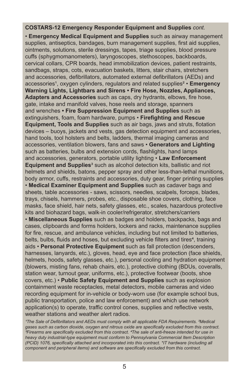#### **COSTARS-12 Emergency Responder Equipment and Supplies** *cont.*

• **Emergency Medical Equipment and Supplies** such as airway management supplies, antiseptics, bandages, burn management supplies, first aid supplies, ointments, solutions, sterile dressings, tapes, triage supplies, blood pressure cuffs (sphygmomanometers), laryngoscopes, stethoscopes, backboards, cervical collars, CPR boards, head immobilization devices, patient restraints, sandbags, straps, cots, evacuation baskets, litters, stair chairs, stretchers and accessories, defibrillators, automated external defibrillators (AEDs) and accessories<sup>1</sup>, oxygen cylinders, regulators and related supplies<sup>2</sup> • Emergency **Warning Lights, Lightbars and Sirens • Fire Hose, Nozzles, Appliances, Adapters and Accessories** such as caps, dry hydrants, elbows, fire hose, gate, intake and manifold valves, hose reels and storage, spanners and wrenches **• Fire Suppression Equipment and Supplies** such as extinguishers, foam, foam hardware, pumps • **Firefighting and Rescue Equipment, Tools and Supplies** such as air bags, jaws and struts, flotation devices – buoys, jackets and vests, gas detection equipment and accessories, hand tools, tool holsters and belts, ladders, thermal imaging cameras and accessories, ventilation blowers, fans and saws • **Generators and Lighting** such as batteries, bulbs and extension cords, flashlights, hand lamps and accessories, generators, portable utility lighting • **Law Enforcement Equipment and Supplies**<sup>3</sup> such as alcohol detection kits, ballistic and riot helmets and shields, batons, pepper spray and other less-than-lethal munitions, body armor, cuffs, restraints and accessories, duty gear, finger printing supplies • **Medical Examiner Equipment and Supplies** such as cadaver bags and sheets, table accessories - saws, scissors, needles, scalpels, forceps, blades, trays, chisels, hammers, probes, etc., disposable shoe covers, clothing, face masks, face shield, hair nets, safety glasses, etc., scales, hazardous protective kits and biohazard bags, walk-in cooler/refrigerator, stretchers/carriers • **Miscellaneous Supplies** such as badges and holders, backpacks, bags and cases, clipboards and forms holders, lockers and racks, maintenance supplies for fire, rescue, and ambulance vehicles, including but not limited to batteries, belts, bulbs, fluids and hoses, but excluding vehicle filters and tires<sup>4</sup>, training aids • **Personal Protective Equipment** such as fall protection (descenders, harnesses, lanyards, etc.), gloves, head, eye and face protection (face shields, helmets, hoods, safety glasses, etc.), personal cooling and hydration equipment (blowers, misting fans, rehab chairs, etc.), protective clothing (BDUs, coveralls, station wear, turnout gear, uniforms, etc.), protective footwear (boots, shoe covers, etc.) • **Public Safety Equipment and Supplies** such as explosion containment waste receptacles, metal detectors, mobile cameras and video recording equipment for in-vehicle or body-worn use (for example school bus, public transportation, police and law enforcement) and which use network application(s) to operate, traffic control cones, supplies and reflective vests, weather stations and weather alert radios.

<sup>1</sup>The Sale of Defibrillators and AEDs must comply with all applicable FDA Requirements. <sup>2</sup>Medical *gases such as carbon dioxide, oxygen and nitrous oxide are specifically excluded from this contract. ³Firearms are specifically excluded from this contract. ⁴The sale of anti-freeze intended for use in heavy duty industrial-type equipment must conform to Pennsylvania Commercial Item Description (PCID) 1076, specifically attached and incorporated into this contract. \*IT hardware (including all component and peripheral items) and software are specifically excluded from this contract.*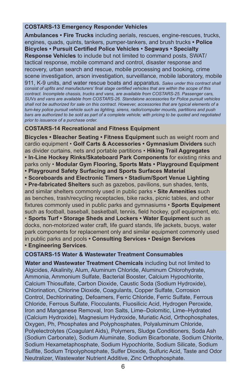#### **COSTARS-13 Emergency Responder Vehicles**

**Ambulances • Fire Trucks** including aerials, rescues, engine-rescues, trucks, engines, quads, quints, tankers, pumper-tankers, and brush trucks **• Police Bicycles • Pursuit Certified Police Vehicles • Segways • Specialty Response Vehicles** to include but not limited to command posts, SWAT/ tactical response, mobile command and control, disaster response and recovery, urban search and rescue, mobile processing and booking, crime scene investigation, arson investigation, surveillance, mobile laboratory, mobile 911, K-9 units, and water rescue boats and apparatus. *Sales under this contract shall consist of upfits and manufacturers' final stage certified vehicles that are within the scope of this contract. Incomplete chassis, trucks and vans, are available from COSTARS-25. Passenger cars, SUVs and vans are available from COSTARS-26. Standalone accessories for Police pursuit vehicles shall not be authorized for sale on this contract. However, accessories that are typical elements of a turn-key police pursuit vehicle such as lighting, sirens, radio/computer mounts, partitions and push*  bars are authorized to be sold as part of a complete vehicle; with pricing to be quoted and negotiated *prior to issuance of a purchase order.*

#### **COSTARS-14 Recreational and Fitness Equipment**

**Bicycles • Bleacher Seating • Fitness Equipment** such as weight room and cardio equipment • **Golf Carts & Accessories • Gymnasium Dividers** such as divider curtains, nets and portable partitions • **Hiking Trail Aggregates • In-Line Hockey Rinks/Skateboard Park Components** for existing rinks and parks only • **Modular Gym Flooring, Sports Mats • Playground Equipment • Playground Safety Surfacing and Sports Surfaces Material • Scoreboards and Electronic Timers • Stadium/Sport Venue Lighting • Pre-fabricated Shelters** such as gazebos, pavilions, sun shades, tents, and similar shelters commonly used in public parks • **Site Amenities** such as benches, trash/recycling receptacles, bike racks, picnic tables, and other fixtures commonly used in public parks and gymnasiums • **Sports Equipment** such as football, baseball, basketball, tennis, field hockey, golf equipment, etc. • **Sports Turf • Storage Sheds and Lockers • Water Equipment** such as docks, non-motorized water craft, life guard stands, life jackets, buoys, water park components for replacement only and similar equipment commonly used in public parks and pools **• Consulting Services • Design Services • Engineering Services**.

#### **COSTARS-15 Water & Wastewater Treatment Consumables**

**Water and Wastewater Treatment Chemicals** including but not limited to Algicides, Alkalinity, Alum, Aluminum Chloride, Aluminum Chlorohydrate, Ammonia, Ammonium Sulfate, Bacterial Booster, Calcium Hypochlorite, Calcium Thiosulfate, Carbon Dioxide, Caustic Soda (Sodium Hydroxide), Chlorination, Chlorine Dioxide, Coagulants, Copper Sulfate, Corrosion Control, Dechlorinating, Defoamers, Ferric Chloride, Ferric Sulfate, Ferrous Chloride, Ferrous Sulfate, Flocculants, Fluosilicic Acid, Hydrogen Peroxide, Iron and Manganese Removal, Iron Salts, Lime–Dolomitic, Lime–Hydrated (Calcium Hydroxide), Magnesium Hydroxide, Muriatic Acid, Orthophosphates, Oxygen, Ph, Phosphates and Polyphosphates, Polyaluminum Chloride, Polyelectrolytes (Coagulant Aids), Polymers, Sludge Conditioners, Soda Ash (Sodium Carbonate), Sodium Aluminate, Sodium Bicarbonate, Sodium Chlorite, Sodium Hexametaphosphate, Sodium Hypochlorite, Sodium Silicate, Sodium Sulfite, Sodium Tripolyphosphate, Sulfer Dioxide, Sulfuric Acid, Taste and Odor Neutralizer, Wastewater Nutrient Additive, Zinc Orthophosphate.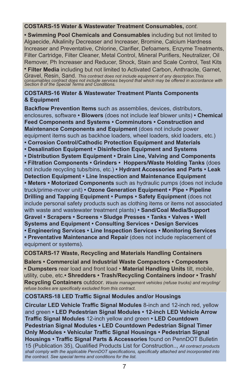#### **COSTARS-15 Water & Wastewater Treatment Consumables,** *cont.*

**• Swimming Pool Chemicals and Consumables** including but not limited to Algaecide, Alkalinity Decreaser and Increaser, Bromine, Calcium Hardness Increaser and Preventative, Chlorine, Clarifier, Defoamers, Enzyme Treatments, Filter Cartridge, Filter Cleaner, Metal Control, Mineral Purifiers, Neutralizer, Oil Remover, Ph Increaser and Reducer, Shock, Stain and Scale Control, Test Kits

**• Filter Media** including but not limited to Activated Carbon, Anthracite, Garnet, Gravel, Resin, Sand. *This contract does not include equipment of any description.This consumables contract does not include services beyond that which may be offered in accordance with Section 8 of the Special Terms and Conditions.*

#### **COSTARS-16 Water & Wastewater Treatment Plants Components & Equipment**

**Backflow Prevention Items** such as assemblies, devices, distributors, enclosures, software **• Blowers** (does not include leaf blower units) **• Chemical Feed Components and Systems • Comminutors • Construction and Maintenance Components and Equipment** (does not include power equipment items such as backhoe loaders, wheel loaders, skid loaders, etc.) **• Corrosion Control/Cathodic Protection Equipment and Materials • Desalination Equipment • Disinfection Equipment and Systems • Distribution System Equipment • Drain Line, Valving and Components • Filtration Components • Grinders • Hoppers/Waste Holding Tanks** (does not include recycling tubs/bins, etc.) **• Hydrant Accessories and Parts • Leak Detection Equipment • Line Inspection and Maintenance Equipment • Meters • Motorized Components** such as hydraulic pumps (does not include truck/prime-mover unit) **• Ozone Generation Equipment • Pipe • Pipeline Drilling and Tapping Equipment • Pumps • Safety Equipment (does not** include personal safety products such as clothing items or items not associated with waste and wastewater treatment plants) **• Sand/Coal Media/Support Gravel • Scrapers • Screens • Sludge Presses • Tanks • Valves • Well Systems and Equipment • Consulting Services • Design Services • Engineering Services • Line Inspection Services • Monitoring Services • Preventative Maintenance and Repair** (does not include replacement of equipment or systems).

#### **COSTARS-17 Waste, Recycling and Materials Handling Containers**

**Balers • Commercial and Industrial Waste Compactors • Composters • Dumpsters** rear load and front load • **Material Handling Units** tilt, mobile, utility, cube, etc.**• Shredders • Trash/Recycling Containers indoor • Trash/ Recycling Containers** outdoor. *Waste management vehicles (refuse trucks) and recycling/ refuse bodies are specifically excluded from this contract.*

#### **COSTARS-18 LED Traffic Signal Modules and/or Housings**

**Circular LED Vehicle Traffic Signal Modules** 8-inch and 12-inch red, yellow and green **• LED Pedestrian Signal Modules • 12-inch LED Vehicle Arrow Traffic Signal Modules** 12-inch yellow and green **• LED Countdown Pedestrian Signal Modules • LED Countdown Pedestrian Signal Timer Only Modules • Vehicular Traffic Signal Housings • Pedestrian Signal Housings • Traffic Signal Parts & Accessories** found on PennDOT Bulletin 15 (Publication 35), Qualified Products List for Construction.., *All contract products shall comply with the applicable PennDOT specifications, specifically attached and incorporated into the contract. See special terms and conditions for the list.*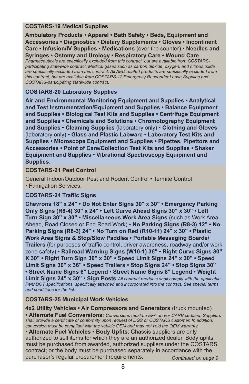#### **COSTARS-19 Medical Supplies**

**Ambulatory Products • Apparel • Bath Safety • Beds, Equipment and Accessories • Diagnostics • Dietary Supplements • Gloves • Incontinent Care • Infusion/IV Supplies • Medications** (over the counter) • **Needles and Syringes • Ostomy and Urology • Respiratory Care • Wound Care**. *Pharmaceuticals are specifically excluded from this contract, but are available from COSTARSparticipating statewide contract. Medical gases such as carbon dioxide, oxygen, and nitrous oxide are specifically excluded from this contract. All AED related products are specifically excluded from this contract, but are available from COSTARS-12 Emergency Responder Loose Supplies and* 

#### **COSTARS-20 Laboratory Supplies**

*COSTARS-participating statewide contract.*

**Air and Environmental Monitoring Equipment and Supplies • Analytical and Test Instrumentation/Equipment and Supplies • Balance Equipment and Supplies • Biological Test Kits and Supplies • Centrifuge Equipment and Supplies • Chemicals and Solutions • Chromotography Equipment and Supplies • Cleaning Supplies** (laboratory only) • **Clothing and Gloves** (laboratory only) **• Glass and Plastic Labware • Laboratory Test Kits and Supplies • Microscope Equipment and Supplies • Pipettes, Pipettors and Accessories • Point of Care/Collection Test Kits and Supplies • Shaker Equipment and Supplies** • **Vibrational Spectroscopy Equipment and Supplies**.

#### **COSTARS-21 Pest Control**

General Indoor/Outdoor Pest and Rodent Control • Termite Control • Fumigation Services.

#### **COSTARS-24 Traffic Signs**

**Chevrons 18" x 24" • Do Not Enter Signs 30" x 30" • Emergency Parking Only Signs (R8-4) 30" x 24" • Left Curve Ahead Signs 30" x 30" • Left Turn Sign 30" x 30" • Miscellaneous Work Area Signs** (such as Work Area Ahead, Road Closed or End Road Work) • **No Parking Signs (R8-3) 12" • No Parking Signs (R8-3) 24" • No Turn on Red (R10-11) 24" x 30" • Plastic Work Area Signs & Stop/Slow Paddles • Portable Messaging Boards/ Trailers** (for purposes of traffic control, driver awareness, roadway and/or work zone safety) • **Railroad Warning Signs (W10-1) 36" • Right Curve Signs 30" X 30" • Right Turn Sign 30" x 30" • Speed Limit Signs 24" x 30" • Speed Limit Signs 30" x 36" • Speed Trailers • Stop Signs 24" • Stop Signs 30" • Street Name Signs 6" Legend • Street Name Signs 8" Legend • Weight Limit Signs 24" x 30" • Sign Posts**.*All contract products shall comply with the applicable PennDOT specifications, specifically attached and incorporated into the contract. See special terms and conditions for the list.* 

#### **COSTARS-25 Municipal Work Vehicles**

**4x2 Utility Vehicles • Air Compressors and Generators** (truck mounted) • **Alternate Fuel Conversions**: *Conversions must be EPA and/or CARB certified. Suppliers shall provide a certificate of conformity upon request of DGS or COSTARS customer. In addition, conversion must be compliant with the vehicle OEM and may not void the OEM warranty.*

• **Alternate Fuel Vehicles • Body Upfits**: Chassis suppliers are only authorized to sell items for which they are an authorized dealer. Body upfits must be purchased from awarded, authorized suppliers under the COSTARS contract; or the body must be purchased separately in accordance with the purchaser's regular procurement requirements. *Continued on page 9*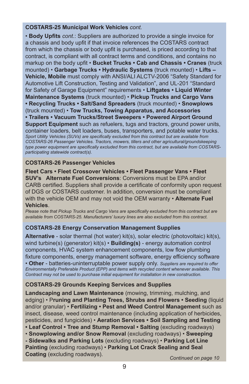#### **COSTARS-25 Municipal Work Vehicles** *cont.*

• **Body Upfits** *cont.*: Suppliers are authorized to provide a single invoice for a chassis and body upfit if that invoice references the COSTARS contract from which the chassis or body upfit is purchased, is priced according to that contract, is compliant with all contract terms and conditions, and contains no markup on the body upfit • **Bucket Trucks • Cab and Chassis • Cranes** (truck mounted) • **Garbage Trucks • Hydraulic Systems** (truck mounted) • **Lifts – Vehicle, Mobile** must comply with ANSI/ALI ALCTV-2006 "Safety Standard for Automotive Lift Construction, Testing and Validation", and UL-201 "Standard for Safety of Garage Equipment" requirements • **Liftgates • Liquid Winter Maintenance Systems** (truck mounted) • **Pickup Trucks and Cargo Vans • Recycling Trucks • Salt/Sand Spreaders** (truck mounted) • **Snowplows** (truck mounted) • **Tow Trucks, Towing Apparatus, and Accessories • Trailers • Vacuum Trucks/Street Sweepers • Powered Airport Ground Support Equipment** such as refuelers, tugs and tractors, ground power units, container loaders, belt loaders, buses, transporters, and potable water trucks. *Sport Utility Vehicles (SUVs) are specifically excluded from this contract but are available from COSTARS-26 Passenger Vehicles. Tractors, mowers, tillers and other agricultural/groundskeeping type power equipment are specifically excluded from this contract, but are available from COSTARSparticipating statewide contract(s).*

#### **COSTARS-26 Passenger Vehicles**

**Fleet Cars • Fleet Crossover Vehicles • Fleet Passenger Vans • Fleet SUV's Alternate Fuel Conversions**: Conversions must be EPA and/or CARB certified. Suppliers shall provide a certificate of conformity upon request of DGS or COSTARS customer. In addition, conversion must be compliant with the vehicle OEM and may not void the OEM warranty • **Alternate Fuel Vehicles**.

*Please note that Pickup Trucks and Cargo Vans are specifically excluded from this contract but are available from COSTARS-25. Manufacturers' luxury lines are also excluded from this contract.*

#### **COSTARS-28 Energy Conservation Management Supplies**

**Alternative** - solar thermal (hot water) kit(s), solar electric (photovoltaic) kit(s), wind turbine(s) (generator) kit(s) • **Building(s)** - energy automation control components, HVAC system enhancement components, low flow plumbing fixture components, energy management software, energy efficiency software • **Other** - batteries-uninterruptable power supply only. *Suppliers are required to offer Environmentally Preferable Product (EPP) and items with recycled content whenever available. This Contract may not be used to purchase initial equipment for installation in new construction.*

#### **COSTARS-29 Grounds Keeping Services and Supplies**

**Landscaping and Lawn Maintenance** (mowing, trimming, mulching, and edging) • P**runing and Planting Trees, Shrubs and Flowers • Seeding** (liquid and/or granular) • **Fertilizing • Pest and Weed Control Management** such as insect, disease, weed control maintenance (including application of herbicides, pesticides, and fungicides) • **Aeration Services • Soil Sampling and Testing** 

• Leaf Control • Tree and Stump Removal • Salting (excluding roadways)

• **Snowplowing and/or Snow Removal** (excluding roadways) • **Sweeping** 

**- Sidewalks and Parking Lots** (excluding roadways) • **Parking Lot Line Painting** (excluding roadways) • **Parking Lot Crack Sealing and Seal Coating** (excluding roadways). **Coatinued** on page 10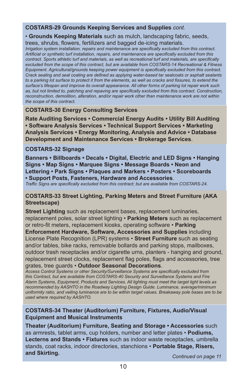#### **COSTARS-29 Grounds Keeping Services and Supplies** *cont.*

#### • **Grounds Keeping Materials** such as mulch, landscaping fabric, seeds,

trees, shrubs, flowers, fertilizers and bagged de-icing materials.

*Irrigation system installation, repairs and maintenance are specifically excluded from this contract. Artificial or synthetic turf installation, repairs, and maintenance are specifically excluded from this contract. Sports athletic turf and materials, as well as recreational turf and materials, are specifically excluded from the scope of this contract, but are available from COSTARS-14 Recreational & Fitness Equipment. Agricultural/grounds keeping power equipment is specifically excluded from this contract. Crack sealing and seal coating are defined as applying water-based tar sealcoats or asphalt sealants to a parking lot surface to protect it from the elements, as well as cracks and fissures, to extend the surface's lifespan and improve its overall appearance. All other forms of parking lot repair work such as, but not limited to, patching and repaving are specifically excluded from this contract. Construction, reconstruction, demolition, alteration, and/or repair work other than maintenance work are not within the scope of this contract.*

#### **COSTARS-30 Energy Consulting Services**

**Rate Auditing Services • Commercial Energy Audits • Utility Bill Auditing • Software Analysis Services • Technical Support Services • Marketing Analysis Services • Energy Monitoring, Analysis and Advice • Database Development and Maintenance Services • Brokerage Services**.

#### **COSTARS-32 Signage**

**Banners • Billboards • Decals • Digital, Electric and LED Signs • Hanging Signs • Map Signs • Marquee Signs • Message Boards • Neon and Lettering • Park Signs • Plaques and Markers • Posters • Scoreboards • Support Posts, Fasteners, Hardware and Accessories**.

*Traffic Signs are specifically excluded from this contract; but are available from COSTARS-24.*

#### **COSTARS-33 Street Lighting, Parking Meters and Street Furniture (AKA Streetscape)**

**Street Lighting** such as replacement bases, replacement luminaries, replacement poles, solar street lighting • **Parking Meters** such as replacement or retro-fit meters, replacement kiosks, operating software • **Parking** 

**Enforcement Hardware, Software, Accessories and Supplies** including License Plate Recognition (LPR) systems • **Street Furniture** such as seating and/or tables, bike racks, removable bollards and parking stops, mailboxes, outdoor trash receptacles and/or cigarette urns, planters - hanging and ground, replacement street clocks, replacement flag poles, flags and accessories, tree grates, tree guards • **Outdoor Seasonal Decorations**.

*Access Control Systems or other Security/Surveillance Systems are specifically excluded from this Contract, but are available from COSTARS-40 Security and Surveillance Systems and Fire Alarm Systems, Equipment, Products and Services. All lighting must meet the target light levels as recommended by AASHTO in the Roadway Lighting Design Guide. Luminance, average/minimum uniformity ratio, and veiling luminance are to be within target values. Breakaway pole bases are to be used where required by AASHTO.*

#### **COSTARS-34 Theater (Auditorium) Furniture, Fixtures, Audio/Visual Equipment and Musical Instruments**

**Theater (Auditorium) Furniture, Seating and Storage • Accessories** such as armrests, tablet arms, cup holders, number and letter plates • **Podiums, Lecterns and Stands • Fixtures** such as indoor waste receptacles, umbrella stands, coat racks, indoor directories, stanchions • **Portable Stage, Risers, and Skirting.** *Continued on page 11*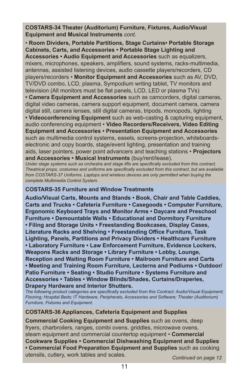**COSTARS-34 Theater (Auditorium) Furniture, Fixtures, Audio/Visual Equipment and Musical Instruments** *cont.*

• **Room Dividers, Portable Partitions, Stage Curtains• Portable Storage Cabinets, Carts, and Accessories • Portable Stage Lighting and Accessories • Audio Equipment and Accessories** such as equalizers, mixers, microphones, speakers, amplifiers, sound systems, racks-multimedia, antennas, assisted listening devices, audio cassette players/recorders, CD players/recorders • **Monitor Equipment and Accessories** such as AV, DVD, TV/DVD combo, LCD, plasma, Sympodium writing tablet, TV monitors and television (All monitors must be flat panels, LCD, LED or plasma TVs)

**• Camera Equipment and Accessories** such as camcorders, digital cameras, digital video cameras, camera support equipment, document camera, camera digital still, camera lenses, still digital cameras, tripods, monopods, lighting **• Videoconferencing Equipment** such as web-casting & capturing equipment, audio conferencing equipment • **Video Recorders/Receivers, Video Editing Equipment and Accessories • Presentation Equipment and Accessories** such as multimedia control systems, easels, screens-projection, whiteboardselectronic and copy boards, stage/event lighting, presentation and training aids, laser pointers, power point advancers and teaching stations • **Projectors** 

**and Accessories • Musical Instruments** (buy/rent/lease).

*Under stage systems such as orchestra and stage lifts are specifically excluded from this contract. Theatrical props, costumes and uniforms are specifically excluded from this contract, but are available from COSTARS-37 Uniforms. Laptops and wireless devices are only permitted when buying the complete Multimedia Control System.*

#### **COSTARS-35 Furniture and Window Treatments**

**Audio/Visual Carts, Mounts and Stands • Book, Chair and Table Caddies, Carts and Trucks • Cafeteria Furniture • Casegoods • Computer Furniture, Ergonomic Keyboard Trays and Monitor Arms • Daycare and Preschool Furniture • Demountable Walls • Educational and Dormitory Furniture • Filing and Storage Units • Freestanding Bookcases, Display Cases, Literature Racks and Shelving • Freestanding Office Furniture, Task Lighting, Panels, Partitions and Privacy Dividers • Healthcare Furniture • Laboratory Furniture • Law Enforcement Furniture, Evidence Lockers, Weapons Racks and Storage • Library Furniture • Lobby, Lounge, Reception and Waiting Room Furniture • Mailroom Furniture and Carts • Meeting and Training Room Furniture, Lecterns and Podiums • Outdoor/ Patio Furniture • Seating • Studio Furniture • Systems Furniture and Accessories • Tables • Window Blinds/Shades, Curtains/Draperies, Drapery Hardware and Interior Shutters.** 

*The following product categories are specifically excluded from this Contract: Audio/Visual Equipment; Flooring; Hospital Beds; IT Hardware, Peripherals, Accessories and Software; Theater (Auditorium) Furniture, Fixtures and Equipment.*

#### **COSTARS-36 Appliances, Cafeteria Equipment and Supplies**

**Commercial Cooking Equipment and Supplies** such as ovens, deep fryers, charbroilers, ranges, combi ovens, griddles, microwave ovens, steam equipment and commercial countertop equipment • **Commercial Cookware Supplies • Commercial Dishwashing Equipment and Supplies • Commercial Food Preparation Equipment and Supplies** such as cooking utensils, cutlery, work tables and scales. *Continued on page 12*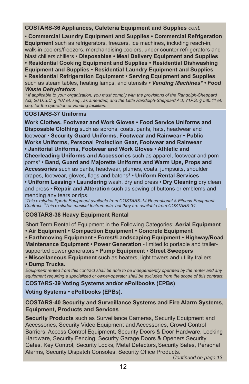**COSTARS-36 Appliances, Cafeteria Equipment and Supplies** *cont.*

• **Commercial Laundry Equipment and Supplies • Commercial Refrigeration Equipment** such as refrigerators, freezers, ice machines, including reach-in, walk-in coolers/freezers, merchandising coolers, under counter refrigerators and blast chillers chillers • **Disposables • Meal Delivery Equipment and Supplies • Residential Cooking Equipment and Supplies • Residential Dishwashing Equipment and Supplies • Residential Laundry Equipment and Supplies • Residential Refrigeration Equipment • Serving Equipment and Supplies**  such as steam tables, heating lamps, and utensils *• Vending Machines\* • Food Waste Dehydrators* 

*\* If applicable to your organization, you must comply with the provisions of the Randolph-Sheppard Act, 20 U.S.C. § 107 et. seq., as amended, and the Little Randolph-Sheppard Act, 71P.S. § 580.11 et. seq. for the operation of vending facilities.*

### **COSTARS-37 Uniforms**

**Work Clothes, Footwear and Work Gloves • Food Service Uniforms and Disposable Clothing** such as aprons, coats, pants, hats, headwear and footwear • **Security Guard Uniforms, Footwear and Rainwear • Public Works Uniforms, Personal Protection Gear, Footwear and Rainwear • Janitorial Uniforms, Footwear and Work Gloves • Athletic and Cheerleading Uniforms and Accessories** such as apparel, footwear and pom poms<sup>1</sup> • Band, Guard and Majorette Uniforms and Warm Ups, Props and **Accessories** such as pants, headwear, plumes, coats, jumpsuits, shoulder drapes, footwear, gloves, flags and batons² **• Uniform Rental Services • Uniform Leasing • Laundering** wash, dry and press **• Dry Cleaning** dry clean and press **• Repair and Alteration** such as sewing of buttons or emblems and mending any tears or rips.

<sup>1</sup>This excludes Sports Equipment available from COSTARS-14 Recreational & Fitness Equipment *Contract. ²This excludes musical Instruments, but they are available from COSTARS-34.*

#### **COSTARS-38 Heavy Equipment Rental**

Short Term Rental of Equipment in the Following Categories: **Aerial Equipment • Air Equipment • Compaction Equipment • Concrete Equipment**

**• Earthmoving Equipment • Forest/Landscaping Equipment • Highway/Road Maintenance Equipment • Power Generation** - limited to portable and trailersupported power generators **• Pump Equipment • Street Sweepers** 

**• Miscellaneous Equipment** such as heaters, light towers and utility trailers

#### **• Dump Trucks.**

*Equipment rented from this contract shall be able to be independently operated by the renter and any*  equipment requiring a specialized or owner-operator shall be excluded from the scope of this contract.

**COSTARS-39 Voting Systems and/or ePollbooks (EPBs)**

**Voting Systems • ePollbooks (EPBs).** 

#### **COSTARS-40 Security and Surveillance Systems and Fire Alarm Systems, Equipment, Products and Services**

**Security Products** such as Surveillance Cameras, Security Equipment and Accessories, Security Video Equipment and Accessories, Crowd Control Barriers, Access Control Equipment, Security Doors & Door Hardware, Locking Hardware, Security Fencing, Security Garage Doors & Openers Security Gates, Key Control, Security Locks, Metal Detectors, Security Safes, Personal Alarms, Security Dispatch Consoles, Security Office Products.

*Continued on page 13*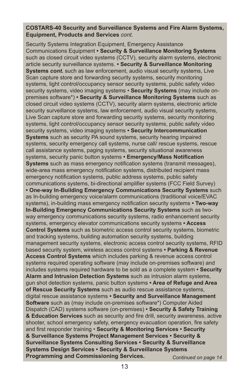#### **COSTARS-40 Security and Surveillance Systems and Fire Alarm Systems, Equipment, Products and Services** *cont.*

Security Systems Integration Equipment, Emergency Assistance Communications Equipment **• Security & Surveillance Monitoring Systems** such as closed circuit video systems (CCTV), security alarm systems, electronic article security surveillance systems. **• Security & Surveillance Monitoring Systems** *cont.* such as law enforcement, audio visual security systems, Live Scan capture store and forwarding security systems, security monitoring systems, light control/occupancy sensor security systems, public safety video security systems, video imaging systems • **Security Systems** (may include onpremises software\*) **• Security & Surveillance Monitoring Systems** such as closed circuit video systems (CCTV), security alarm systems, electronic article security surveillance systems, law enforcement, audio visual security systems, Live Scan capture store and forwarding security systems, security monitoring systems, light control/occupancy sensor security systems, public safety video security systems, video imaging systems **• Security Intercommunication Systems** such as security PA sound systems, security hearing impaired systems, security emergency call systems, nurse call/ rescue systems, rescue call assistance systems, paging systems, security situational awareness systems, security panic button systems **• Emergency/Mass Notification Systems** such as mass emergency notification systems (transmit messages), wide-area mass emergency notification systems, distributed recipient mass emergency notification systems, public address systems, public safety communications systems, bi-directional amplifier systems (FCC Field Survey) **• One-way In-Building Emergency Communications Security Systems** such as In-building emergency voice/alarm communications (traditional voice/EVAC systems), in-building mass emergency notification security systems **• Two-way In-Building Emergency Communications Security Systems** such as twoway emergency communications security systems, radio enhancement security systems, emergency elevator communications security systems **• Access Control Systems** such as biometric access control security systems, biometric and tracking systems, building automation security systems, building management security systems, electronic access control security systems, RFID based security system, wireless access control systems **• Parking & Revenue Access Control Systems** which includes parking & revenue access control systems required operating software (may include on-premises software) and includes systems required hardware to be sold as a complete system **• Security Alarm and Intrusion Detection Systems** such as intrusion alarm systems, gun shot detection systems, panic button systems **• Area of Refuge and Area of Rescue Security Systems** such as audio rescue assistance systems, digital rescue assistance systems **• Security and Surveillance Management Software** such as (may include on-premises software\*) Computer Aided Dispatch (CAD) systems software (on-premises) **• Security & Safety Training & Education Services** such as security and fire drill, security awareness, active shooter, school emergency safety, emergency evacuation operation, fire safety and first responder training • **Security & Monitoring Services • Security & Surveillance Systems Project Management Services • Security & Surveillance Systems Consulting Services • Security & Surveillance Systems Design Services • Security & Surveillance Systems Programming and Commissioning Services.** *Continued on page 14*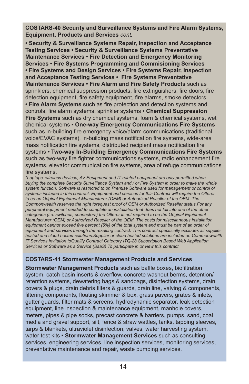**COSTARS-40 Security and Surveillance Systems and Fire Alarm Systems, Equipment, Products and Services** *cont.*

**• Security & Surveillance Systems Repair, Inspection and Acceptance Testing Services • Security & Surveillance Systems Preventative Maintenance Services • Fire Detection and Emergency Monitoring Services • Fire Systems Programming and Commisioning Services • Fire Systems and Design Services • Fire Systems Repair, Inspection and Acceptance Testing Services • Fire Systems Preventative Maintenance Services • Fire Alarm and Fire Safety Products** such as sprinklers, chemical suppression products, fire extinguishers, fire doors, fire detection equipment, fire safety equipment, fire alarms, smoke detectors **• Fire Alarm Systems** such as fire protection and detection systems and controls, fire alarm systems, sprinkler systems **• Chemical Suppression Fire Systems** such as dry chemical systems, foam & chemical systems, wet chemical systems **• One-way Emergency Communications Fire Systems** such as in-building fire emergency voice/alarm communications (traditional voice/EVAC systems), in-building mass notification fire systems, wide-area mass notification fire systems, distributed recipient mass notification fire systems **• Two-way In-Building Emergency Communications Fire Systems** such as two-way fire fighter communications systems, radio enhancement fire systems, elevator communication fire systems, area of refuge communications fire systems.

*\*Laptops, wireless devices, AV Equipment and IT related equipment are only permitted when buying the complete Security Surveillance System and / or Fire System in order to make the whole system function. Software is restricted to on Premise Software used for management or control of systems included in this contract. Equipment and services for this Contract will require the Offeror to be an Original Equipment Manufacturer (OEM) or Authorized Reseller of the OEM. The Commonwealth reserves the right torequest proof of OEM or Authorized Reseller status.For any peripheral equipment needed to complete an installation that does not fall into one of the other categories (i.e. switches, connectors) the Offeror is not required to be the Original Equipment Manufacturer (OEM) or Authorized Reseller of the OEM. The costs for miscellaneous installation equipment cannot exceed five percent (5%) of the total system and must be part of an order of equipment and services through the resulting contract. This contract specifically excludes all supplier hosted and cloud hosted solutions.Supplier or cloud hosted solutions are included on Commonwealth IT Services Invitation toQualify Contract Category ITQ-28 Subscription Based Web Application Services or Software as a Service (SaaS) To participate in or view this contract*

#### **COSTARS-41 Stormwater Management Products and Services**

**Stormwater Management Products** such as baffle boxes, biofiltration system, catch basin inserts & overflow, concrete washout berms, detention/ retention systems, dewatering bags & sandbags, disinfection systems, drain covers & plugs, drain debris filters & guards, drain line, valving & components, filtering components, floating skimmer & box, grass pavers, grates & inlets, gutter guards, filter mats & screens, hydrodynamic separator, leak detection equipment, line inspection & maintenance equipment, manhole covers, meters, pipes & pipe socks, precast concrete & barriers, pumps, sand, coal media and gravel support, silt, fence & straw wattles, tanks, tapping sleeves, tarps & blankets, ultraviolet disinfection, valves, water harvesting system, water test kits **• Stormwater Management Services** such as consulting services, engineering services, line inspection services, monitoring services, preventative maintenance and repair, waste pumping services.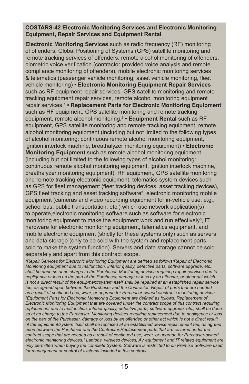#### **COSTARS-42 Electronic Monitoring Services and Electronic Monitoring Equipment, Repair Services and Equipment Rental**

**Electronic Monitoring Services** such as radio frequency (RF) monitoring of offenders, Global Positioning of Systems (GPS) satellite monitoring and remote tracking services of offenders, remote alcohol monitoring of offenders, biometric voice verification (contractor provided voice analysis and remote compliance monitoring of offenders), mobile electronic monitoring services & telematics (passenger vehicle monitoring, asset vehicle monitoring, fleet vehicle monitoring) **• Electronic Monitoring Equipment Repair Services**  such as RF equipment repair services, GPS Satellite monitoring and remote tracking equipment repair services, remote alcohol monitoring equipment repair services.<sup>1</sup> • Replacement Parts for Electronic Monitoring Equipment such as RF equipment, GPS satellite monitoring and remote tracking equipment, remote alcohol monitoring.² **• Equipment Rental** such as RF equipment, GPS satellite monitoring and remote tracking equipment, remote alcohol monitoring equipment (including but not limited to the following types of alcohol monitoring: continuous remote alcohol monitoring equipment, ignition interlock machine, breathalyzer monitoring equipment) **• Electronic Monitoring Equipment** such as remote alcohol monitoring equipment (including but not limited to the following types of alcohol monitoring: continuous remote alcohol monitoring equipment, ignition interlock machine, breathalyzer monitoring equipment), RF equipment, GPS satellite monitoring and remote tracking electronic equipment, telematics system devices such as GPS for fleet management (fleet tracking devices, asset tracking devices), GPS fleet tracking and asset tracking software<sup>3</sup>, electronic monitoring mobile equipment (cameras and video recording equipment for in-vehicle use, e.g., school bus, public transportation, etc.) which use network application(s) to operate,electronic monitoring software such as software for electronic monitoring equipment to make the equipment work and run effectively<sup>3</sup>, IT hardware for electronic monitoring equipment, telematics equipment, and mobile electronic equipment (strictly for these systems only) such as servers and data storage (only to be sold with the system and replacement parts sold to make the system function). Servers and data storage cannot be sold separately and apart from this contract scope.

*Repair Services for Electronic Monitoring Equipment are defined as follows: Repair of Electronic Monitoring equipment due to malfunction, inferior quality, defective parts, software upgrade, etc., shall be done so at no charge to the Purchaser. Monitoring devices requiring repair services due to negligence or loss on the part of the Purchaser, damage or loss by an offender, or other act which is not a direct result of the equipment/system itself shall be repaired at an established repair service fee, as agreed upon between the Purchaser and the Contractor. Repair of parts that are needed as a result of continued use, wear, or upgrade for Purchaser-owned electronic monitoring devices. ²Equipment Parts for Electronic Monitoring Equipment are defined as follows: Replacement of Electronic Monitoring Equipment that are covered under the contract scope of this contract requiring replacement due to malfunction, inferior quality, defective parts, software upgrade, etc., shall be done so at no charge to the Purchaser. Monitoring devices requiring replacement due to negligence or loss on the part of the Purchaser, damage or loss by an offender, or other act which is not a direct result of the equipment/system itself shall be replaced at an established device replacement fee, as agreed upon between the Purchaser and the Contractor.Replacement parts that are covered under the contract scope that are needed as a result of continued use, wear, or upgrade for Purchaser-owned electronic monitoring devices.³ Laptops, wireless devices, AV equipment and IT related equipment are only permitted when buying the complete System. Software is restricted to on Premise Software used for management or control of systems included in this contract.*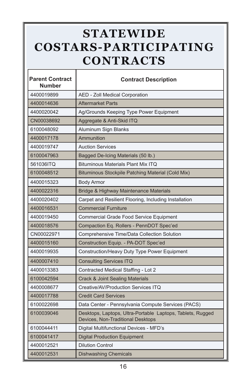## **STATEWIDE COSTARS-PARTICIPATING CONTRACTS**

ľ

| <b>Parent Contract</b><br>Number | <b>Contract Description</b>                                                                     |  |
|----------------------------------|-------------------------------------------------------------------------------------------------|--|
| 4400019899                       | AED - Zoll Medical Corporation                                                                  |  |
| 4400014636                       | <b>Aftermarket Parts</b>                                                                        |  |
| 4400020042                       | Ag/Grounds Keeping Type Power Equipment                                                         |  |
| CN00038692                       | Aggregate & Anti-Skid ITQ                                                                       |  |
| 6100048092                       | Aluminum Sign Blanks                                                                            |  |
| 4400017178                       | Ammunition                                                                                      |  |
| 4400019747                       | <b>Auction Services</b>                                                                         |  |
| 6100047963                       | Bagged De-Icing Materials (50 lb.)                                                              |  |
| 561036ITQ                        | Bituminous Materials Plant Mix ITQ                                                              |  |
| 6100048512                       | Bituminous Stockpile Patching Material (Cold Mix)                                               |  |
| 4400015323                       | <b>Body Armor</b>                                                                               |  |
| 4400022316                       | Bridge & Highway Maintenance Materials                                                          |  |
| 4400020402                       | Carpet and Resilient Flooring, Including Installation                                           |  |
| 4400016531                       | <b>Commercial Furniture</b>                                                                     |  |
| 4400019450                       | Commercial Grade Food Service Equipment                                                         |  |
| 4400018576                       | Compaction Eq. Rollers - PennDOT Spec'ed                                                        |  |
| CN00022971                       | Comprehensive Time/Data Collection Solution                                                     |  |
| 4400015160                       | Construction Equip. - PA-DOT Spec'ed                                                            |  |
| 4400019935                       | Construction/Heavy Duty Type Power Equipment                                                    |  |
| 4400007410                       | <b>Consulting Services ITQ</b>                                                                  |  |
| 4400013383                       | Contracted Medical Staffing - Lot 2                                                             |  |
| 6100042594                       | <b>Crack &amp; Joint Sealing Materials</b>                                                      |  |
| 4400008677                       | Creative/AV/Production Services ITQ                                                             |  |
| 4400017788                       | <b>Credit Card Services</b>                                                                     |  |
| 6100022698                       | Data Center - Pennsylvania Compute Services (PACS)                                              |  |
| 6100039046                       | Desktops, Laptops, Ultra-Portable Laptops, Tablets, Rugged<br>Devices, Non-Traditional Desktops |  |
| 6100044411                       | Digital Multifunctional Devices - MFD's                                                         |  |
| 6100041417                       | <b>Digital Production Equipment</b>                                                             |  |
| 4400012521                       | <b>Dilution Control</b>                                                                         |  |
| 4400012531                       | <b>Dishwashing Chemicals</b>                                                                    |  |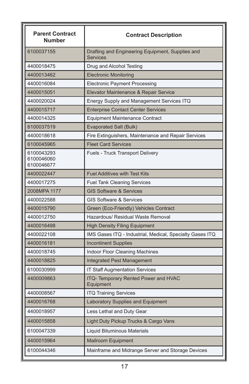| <b>Parent Contract</b><br><b>Number</b> | <b>Contract Description</b>                                         |  |
|-----------------------------------------|---------------------------------------------------------------------|--|
| 6100037155                              | Drafting and Engineering Equipment, Supplies and<br><b>Services</b> |  |
| 4400018475                              | Drug and Alcohol Testing                                            |  |
| 4400013462                              | <b>Electronic Monitoring</b>                                        |  |
| 4400016084                              | <b>Electronic Payment Processing</b>                                |  |
| 4400015051                              | Elevator Maintenance & Repair Service                               |  |
| 4400020024                              | Energy Supply and Management Services ITQ                           |  |
| 4400015717                              | <b>Enterprise Contact Center Services</b>                           |  |
| 4400014325                              | Equipment Maintenance Contract                                      |  |
| 6100037519                              | Evaporated Salt (Bulk)                                              |  |
| 4400018618                              | Fire Extinguishers, Maintenance and Repair Services                 |  |
| 6100045965                              | <b>Fleet Card Services</b>                                          |  |
| 6100043293<br>6100046060<br>6100046677  | <b>Fuels - Truck Transport Delivery</b>                             |  |
| 4400022447                              | <b>Fuel Additives with Test Kits</b>                                |  |
| 4400017275                              | <b>Fuel Tank Cleaning Services</b>                                  |  |
| 2008MPA 1177                            | <b>GIS Software &amp; Services</b>                                  |  |
| 4400022588                              | <b>GIS Software &amp; Services</b>                                  |  |
| 4400015790                              | Green (Eco-Friendly) Vehicles Contract                              |  |
| 4400012750                              | Hazardous/ Residual Waste Removal                                   |  |
| 4400016498                              | <b>High Density Filing Equipment</b>                                |  |
| 4400022108                              | IMS Gases ITQ - Industrial, Medical, Specialty Gases ITQ            |  |
| 4400016181                              | <b>Incontinent Supplies</b>                                         |  |
| 4400018745                              | Indoor Floor Cleaning Machines                                      |  |
| 4400018825                              | Integrated Pest Management                                          |  |
| 6100030999                              | <b>IT Staff Augmentation Services</b>                               |  |
| 4400009863                              | ITQ- Temporary Rented Power and HVAC<br>Equipment                   |  |
| 4400008567                              | <b>ITQ Training Services</b>                                        |  |
| 4400016768                              | Laboratory Supplies and Equipment                                   |  |
| 4400018957                              | Less Lethal and Duty Gear                                           |  |
| 4400015858                              | Light Duty Pickup Trucks & Cargo Vans                               |  |
| 6100047339                              | Liquid Bituminous Materials                                         |  |
| 4400015964                              | Mailroom Equipment                                                  |  |
| 6100044346                              | Mainframe and Midrange Server and Storage Devices                   |  |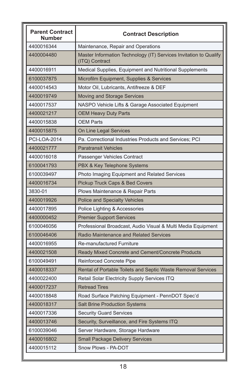| <b>Parent Contract</b><br><b>Number</b> | <b>Contract Description</b>                                                         |  |
|-----------------------------------------|-------------------------------------------------------------------------------------|--|
| 4400016344                              | Maintenance, Repair and Operations                                                  |  |
| 4400004480                              | Master Information Technology (IT) Services Invitation to Qualify<br>(ITQ) Contract |  |
| 4400016911                              | Medical Supplies, Equipment and Nutritional Supplements                             |  |
| 6100037875                              | Microfilm Equipment, Supplies & Services                                            |  |
| 4400014543                              | Motor Oil, Lubricants, Antifreeze & DEF                                             |  |
| 4400019749                              | Moving and Storage Services                                                         |  |
| 4400017537                              | NASPO Vehicle Lifts & Garage Associated Equipment                                   |  |
| 4400021217                              | <b>OEM Heavy Duty Parts</b>                                                         |  |
| 4400015838                              | <b>OEM Parts</b>                                                                    |  |
| 4400015875                              | On Line Legal Services                                                              |  |
| <b>PCI-LOA-2014</b>                     | Pa. Correctional Industries Products and Services; PCI                              |  |
| 4400021777                              | <b>Paratransit Vehicles</b>                                                         |  |
| 4400016018                              | Passenger Vehicles Contract                                                         |  |
| 6100041793                              | PBX & Key Telephone Systems                                                         |  |
| 6100039497                              | Photo Imaging Equipment and Related Services                                        |  |
| 4400016734                              | Pickup Truck Caps & Bed Covers                                                      |  |
| 3830-01                                 | Plows Maintenance & Repair Parts                                                    |  |
| 4400019926                              | <b>Police and Specialty Vehicles</b>                                                |  |
| 4400017895                              | Police Lighting & Accessories                                                       |  |
| 4400000452                              | <b>Premier Support Services</b>                                                     |  |
| 6100046056                              | Professional Broadcast, Audio Visual & Multi Media Equipment                        |  |
| 6100046406                              | <b>Radio Maintenance and Related Services</b>                                       |  |
| 4400016955                              | <b>Re-manufactured Furniture</b>                                                    |  |
| 4400021508                              | Ready Mixed Concrete and Cement/Concrete Products                                   |  |
| 6100049491                              | Reinforced Concrete Pipe                                                            |  |
| 4400018337                              | Rental of Portable Toilets and Septic Waste Removal Services                        |  |
| 4400022400                              | Retail Solar Electricity Supply Services ITQ                                        |  |
| 4400017237                              | <b>Retread Tires</b>                                                                |  |
| 4400018848                              | Road Surface Patching Equipment - PennDOT Spec'd                                    |  |
| 4400018317                              | Salt Brine Production Systems                                                       |  |
| 4400017336                              | <b>Security Guard Services</b>                                                      |  |
| 4400013746                              | Security, Surveillance, and Fire Systems ITQ                                        |  |
| 6100039046                              | Server Hardware, Storage Hardware                                                   |  |
| 4400016802                              | <b>Small Package Delivery Services</b>                                              |  |
| 4400015112                              | Snow Plows - PA-DOT                                                                 |  |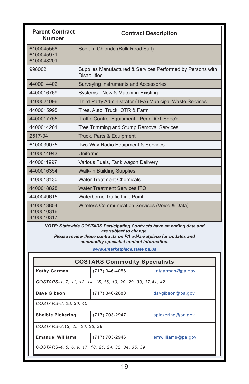| <b>Parent Contract</b><br><b>Number</b> | <b>Contract Description</b>                                                       |  |
|-----------------------------------------|-----------------------------------------------------------------------------------|--|
| 6100045558<br>6100045971<br>6100048201  | Sodium Chloride (Bulk Road Salt)                                                  |  |
| 998002                                  | Supplies Manufactured & Services Performed by Persons with<br><b>Disabilities</b> |  |
| 4400014402                              | Surveying Instruments and Accessories                                             |  |
| 4400016769                              | Systems - New & Matching Existing                                                 |  |
| 4400021096                              | Third Party Administrator (TPA) Municipal Waste Services                          |  |
| 4400015995                              | Tires, Auto, Truck, OTR & Farm                                                    |  |
| 4400017755                              | Traffic Control Equipment - PennDOT Spec'd.                                       |  |
| 4400014261                              | Tree Trimming and Stump Removal Services                                          |  |
| 2517-04                                 | Truck, Parts & Equipment                                                          |  |
| 6100039075                              | Two-Way Radio Equipment & Services                                                |  |
| 4400014943                              | Uniforms                                                                          |  |
| 4400011997                              | Various Fuels, Tank wagon Delivery                                                |  |
| 4400016354                              | <b>Walk-In Building Supplies</b>                                                  |  |
| 4400018130                              | <b>Water Treatment Chemicals</b>                                                  |  |
| 4400018828                              | <b>Water Treatment Services ITQ</b>                                               |  |
| 4400049615                              | Waterborne Traffic Line Paint                                                     |  |
| 4400013854<br>4400010316<br>4400010317  | Wireless Communication Services (Voice & Data)                                    |  |

*NOTE: Statewide COSTARS Participating Contracts have an ending date and are subject to change.* 

*Please review these contracts on PA e-Marketplace for updates and commodity specialist contact information.*

*www.emarketplace.state.pa.us*

| <b>COSTARS Commodity Specialists</b>                         |                  |                     |  |  |
|--------------------------------------------------------------|------------------|---------------------|--|--|
| <b>Kathy Garman</b>                                          | $(717)$ 346-4056 | $k$ atgarman@pa.gov |  |  |
| COSTARS-1, 7, 11, 12, 14, 15, 16, 19, 20, 29, 33, 37, 41, 42 |                  |                     |  |  |
| Dave Gibson                                                  | $(717)$ 346-2680 | davgibson@pa.gov    |  |  |
| COSTARS-8, 28, 30, 40                                        |                  |                     |  |  |
| <b>Shelbie Pickering</b>                                     | (717) 703-2947   | spickering@pa.gov   |  |  |
| COSTARS-3,13, 25, 26, 36, 38                                 |                  |                     |  |  |
| <b>Emanuel Williams</b>                                      | (717) 703-2946   | emwilliams@pa.gov   |  |  |
| COSTARS-4, 5, 6, 9, 17, 18, 21, 24, 32, 34, 35, 39           |                  |                     |  |  |